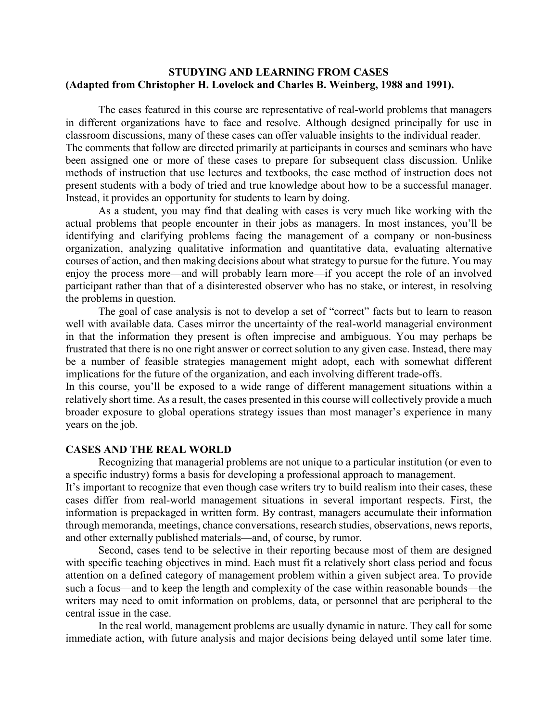## **STUDYING AND LEARNING FROM CASES (Adapted from Christopher H. Lovelock and Charles B. Weinberg, 1988 and 1991).**

The cases featured in this course are representative of real-world problems that managers in different organizations have to face and resolve. Although designed principally for use in classroom discussions, many of these cases can offer valuable insights to the individual reader. The comments that follow are directed primarily at participants in courses and seminars who have been assigned one or more of these cases to prepare for subsequent class discussion. Unlike methods of instruction that use lectures and textbooks, the case method of instruction does not present students with a body of tried and true knowledge about how to be a successful manager. Instead, it provides an opportunity for students to learn by doing.

As a student, you may find that dealing with cases is very much like working with the actual problems that people encounter in their jobs as managers. In most instances, you'll be identifying and clarifying problems facing the management of a company or non-business organization, analyzing qualitative information and quantitative data, evaluating alternative courses of action, and then making decisions about what strategy to pursue for the future. You may enjoy the process more—and will probably learn more—if you accept the role of an involved participant rather than that of a disinterested observer who has no stake, or interest, in resolving the problems in question.

The goal of case analysis is not to develop a set of "correct" facts but to learn to reason well with available data. Cases mirror the uncertainty of the real-world managerial environment in that the information they present is often imprecise and ambiguous. You may perhaps be frustrated that there is no one right answer or correct solution to any given case. Instead, there may be a number of feasible strategies management might adopt, each with somewhat different implications for the future of the organization, and each involving different trade-offs.

In this course, you'll be exposed to a wide range of different management situations within a relatively short time. As a result, the cases presented in this course will collectively provide a much broader exposure to global operations strategy issues than most manager's experience in many years on the job.

#### **CASES AND THE REAL WORLD**

Recognizing that managerial problems are not unique to a particular institution (or even to a specific industry) forms a basis for developing a professional approach to management.

It's important to recognize that even though case writers try to build realism into their cases, these cases differ from real-world management situations in several important respects. First, the information is prepackaged in written form. By contrast, managers accumulate their information through memoranda, meetings, chance conversations, research studies, observations, news reports, and other externally published materials—and, of course, by rumor.

Second, cases tend to be selective in their reporting because most of them are designed with specific teaching objectives in mind. Each must fit a relatively short class period and focus attention on a defined category of management problem within a given subject area. To provide such a focus—and to keep the length and complexity of the case within reasonable bounds—the writers may need to omit information on problems, data, or personnel that are peripheral to the central issue in the case.

In the real world, management problems are usually dynamic in nature. They call for some immediate action, with future analysis and major decisions being delayed until some later time.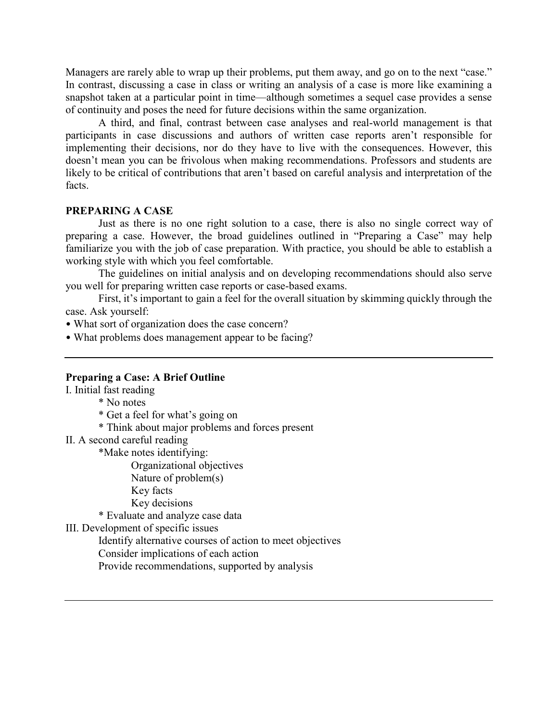Managers are rarely able to wrap up their problems, put them away, and go on to the next "case." In contrast, discussing a case in class or writing an analysis of a case is more like examining a snapshot taken at a particular point in time—although sometimes a sequel case provides a sense of continuity and poses the need for future decisions within the same organization.

A third, and final, contrast between case analyses and real-world management is that participants in case discussions and authors of written case reports aren't responsible for implementing their decisions, nor do they have to live with the consequences. However, this doesn't mean you can be frivolous when making recommendations. Professors and students are likely to be critical of contributions that aren't based on careful analysis and interpretation of the facts.

## **PREPARING A CASE**

Just as there is no one right solution to a case, there is also no single correct way of preparing a case. However, the broad guidelines outlined in "Preparing a Case" may help familiarize you with the job of case preparation. With practice, you should be able to establish a working style with which you feel comfortable.

The guidelines on initial analysis and on developing recommendations should also serve you well for preparing written case reports or case-based exams.

First, it's important to gain a feel for the overall situation by skimming quickly through the case. Ask yourself:

• What sort of organization does the case concern?

• What problems does management appear to be facing?

### **Preparing a Case: A Brief Outline**

I. Initial fast reading

# \* No notes

- \* Get a feel for what's going on
- \* Think about major problems and forces present
- II. A second careful reading

\*Make notes identifying:

Organizational objectives

Nature of problem(s)

Key facts

Key decisions

\* Evaluate and analyze case data

III. Development of specific issues

Identify alternative courses of action to meet objectives

Consider implications of each action

Provide recommendations, supported by analysis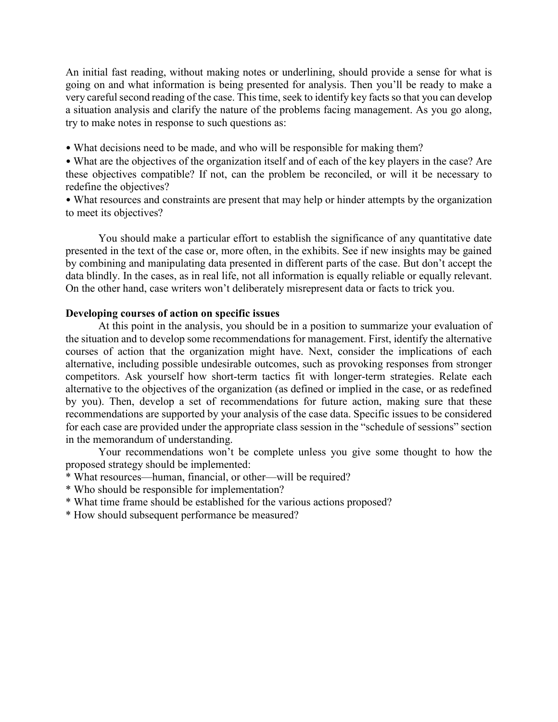An initial fast reading, without making notes or underlining, should provide a sense for what is going on and what information is being presented for analysis. Then you'll be ready to make a very careful second reading of the case. This time, seek to identify key facts so that you can develop a situation analysis and clarify the nature of the problems facing management. As you go along, try to make notes in response to such questions as:

• What decisions need to be made, and who will be responsible for making them?

• What are the objectives of the organization itself and of each of the key players in the case? Are these objectives compatible? If not, can the problem be reconciled, or will it be necessary to redefine the objectives?

• What resources and constraints are present that may help or hinder attempts by the organization to meet its objectives?

You should make a particular effort to establish the significance of any quantitative date presented in the text of the case or, more often, in the exhibits. See if new insights may be gained by combining and manipulating data presented in different parts of the case. But don't accept the data blindly. In the cases, as in real life, not all information is equally reliable or equally relevant. On the other hand, case writers won't deliberately misrepresent data or facts to trick you.

## **Developing courses of action on specific issues**

At this point in the analysis, you should be in a position to summarize your evaluation of the situation and to develop some recommendations for management. First, identify the alternative courses of action that the organization might have. Next, consider the implications of each alternative, including possible undesirable outcomes, such as provoking responses from stronger competitors. Ask yourself how short-term tactics fit with longer-term strategies. Relate each alternative to the objectives of the organization (as defined or implied in the case, or as redefined by you). Then, develop a set of recommendations for future action, making sure that these recommendations are supported by your analysis of the case data. Specific issues to be considered for each case are provided under the appropriate class session in the "schedule of sessions" section in the memorandum of understanding.

Your recommendations won't be complete unless you give some thought to how the proposed strategy should be implemented:

\* What resources—human, financial, or other—will be required?

- \* Who should be responsible for implementation?
- \* What time frame should be established for the various actions proposed?
- \* How should subsequent performance be measured?